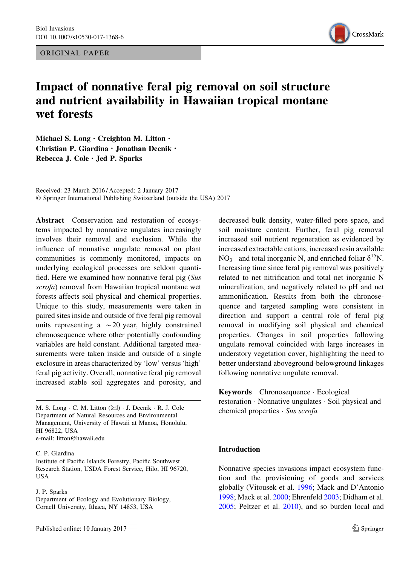ORIGINAL PAPER



# Impact of nonnative feral pig removal on soil structure and nutrient availability in Hawaiian tropical montane wet forests

Michael S. Long · Creighton M. Litton · Christian P. Giardina · Jonathan Deenik · Rebecca J. Cole . Jed P. Sparks

Received: 23 March 2016 / Accepted: 2 January 2017 © Springer International Publishing Switzerland (outside the USA) 2017

Abstract Conservation and restoration of ecosystems impacted by nonnative ungulates increasingly involves their removal and exclusion. While the influence of nonnative ungulate removal on plant communities is commonly monitored, impacts on underlying ecological processes are seldom quantified. Here we examined how nonnative feral pig (Sus scrofa) removal from Hawaiian tropical montane wet forests affects soil physical and chemical properties. Unique to this study, measurements were taken in paired sites inside and outside of five feral pig removal units representing a  $\sim$  20 year, highly constrained chronosequence where other potentially confounding variables are held constant. Additional targeted measurements were taken inside and outside of a single exclosure in areas characterized by 'low' versus 'high' feral pig activity. Overall, nonnative feral pig removal increased stable soil aggregates and porosity, and

M. S. Long  $\cdot$  C. M. Litton  $(\boxtimes) \cdot$  J. Deenik  $\cdot$  R. J. Cole Department of Natural Resources and Environmental Management, University of Hawaii at Manoa, Honolulu, HI 96822, USA e-mail: litton@hawaii.edu

C. P. Giardina

Institute of Pacific Islands Forestry, Pacific Southwest Research Station, USDA Forest Service, Hilo, HI 96720, USA

J. P. Sparks

Department of Ecology and Evolutionary Biology, Cornell University, Ithaca, NY 14853, USA

decreased bulk density, water-filled pore space, and soil moisture content. Further, feral pig removal increased soil nutrient regeneration as evidenced by increased extractable cations, increased resin available  $NO_3^-$  and total inorganic N, and enriched foliar  $\delta^{15}N$ . Increasing time since feral pig removal was positively related to net nitrification and total net inorganic N mineralization, and negatively related to pH and net ammonification. Results from both the chronosequence and targeted sampling were consistent in direction and support a central role of feral pig removal in modifying soil physical and chemical properties. Changes in soil properties following ungulate removal coincided with large increases in understory vegetation cover, highlighting the need to better understand aboveground-belowground linkages following nonnative ungulate removal.

Keywords Chronosequence · Ecological restoration · Nonnative ungulates · Soil physical and chemical properties · Sus scrofa

### Introduction

Nonnative species invasions impact ecosystem function and the provisioning of goods and services globally (Vitousek et al. [1996](#page-13-0); Mack and D'Antonio [1998;](#page-13-0) Mack et al. [2000;](#page-13-0) Ehrenfeld [2003](#page-12-0); Didham et al. [2005;](#page-12-0) Peltzer et al. [2010\)](#page-13-0), and so burden local and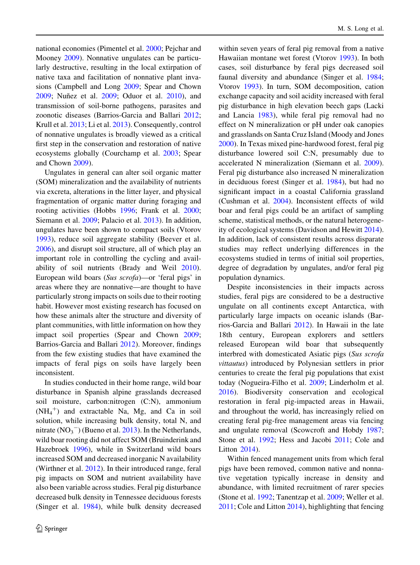national economies (Pimentel et al. [2000](#page-13-0); Pejchar and Mooney [2009\)](#page-13-0). Nonnative ungulates can be particularly destructive, resulting in the local extirpation of native taxa and facilitation of nonnative plant invasions (Campbell and Long [2009](#page-12-0); Spear and Chown [2009;](#page-13-0) Nuñez et al. [2009](#page-13-0); Oduor et al. [2010](#page-13-0)), and transmission of soil-borne pathogens, parasites and zoonotic diseases (Barrios-Garcia and Ballari [2012](#page-11-0); Krull et al. [2013](#page-12-0); Li et al. [2013\)](#page-12-0). Consequently, control of nonnative ungulates is broadly viewed as a critical first step in the conservation and restoration of native ecosystems globally (Courchamp et al. [2003;](#page-12-0) Spear and Chown [2009\)](#page-13-0).

Ungulates in general can alter soil organic matter (SOM) mineralization and the availability of nutrients via excreta, alterations in the litter layer, and physical fragmentation of organic matter during foraging and rooting activities (Hobbs [1996](#page-12-0); Frank et al. [2000](#page-12-0); Siemann et al. [2009;](#page-13-0) Palacio et al. [2013](#page-13-0)). In addition, ungulates have been shown to compact soils (Vtorov [1993\)](#page-13-0), reduce soil aggregate stability (Beever et al. [2006\)](#page-11-0), and disrupt soil structure, all of which play an important role in controlling the cycling and availability of soil nutrients (Brady and Weil [2010](#page-11-0)). European wild boars (Sus scrofa)—or 'feral pigs' in areas where they are nonnative—are thought to have particularly strong impacts on soils due to their rooting habit. However most existing research has focused on how these animals alter the structure and diversity of plant communities, with little information on how they impact soil properties (Spear and Chown [2009](#page-13-0); Barrios-Garcia and Ballari [2012\)](#page-11-0). Moreover, findings from the few existing studies that have examined the impacts of feral pigs on soils have largely been inconsistent.

In studies conducted in their home range, wild boar disturbance in Spanish alpine grasslands decreased soil moisture, carbon:nitrogen (C:N), ammonium  $(NH_4^+)$  and extractable Na, Mg, and Ca in soil solution, while increasing bulk density, total N, and nitrate  $(NO_3^-)$  (Bueno et al. [2013](#page-12-0)). In the Netherlands, wild boar rooting did not affect SOM (Bruinderink and Hazebroek [1996\)](#page-12-0), while in Switzerland wild boars increased SOM and decreased inorganic N availability (Wirthner et al. [2012\)](#page-14-0). In their introduced range, feral pig impacts on SOM and nutrient availability have also been variable across studies. Feral pig disturbance decreased bulk density in Tennessee deciduous forests (Singer et al. [1984](#page-13-0)), while bulk density decreased within seven years of feral pig removal from a native Hawaiian montane wet forest (Vtorov [1993](#page-13-0)). In both cases, soil disturbance by feral pigs decreased soil faunal diversity and abundance (Singer et al. [1984](#page-13-0); Vtorov [1993\)](#page-13-0). In turn, SOM decomposition, cation exchange capacity and soil acidity increased with feral pig disturbance in high elevation beech gaps (Lacki and Lancia [1983\)](#page-12-0), while feral pig removal had no effect on N mineralization or pH under oak canopies and grasslands on Santa Cruz Island (Moody and Jones [2000\)](#page-13-0). In Texas mixed pine-hardwood forest, feral pig disturbance lowered soil C:N, presumably due to accelerated N mineralization (Siemann et al. [2009](#page-13-0)). Feral pig disturbance also increased N mineralization in deciduous forest (Singer et al. [1984\)](#page-13-0), but had no significant impact in a coastal California grassland (Cushman et al. [2004\)](#page-12-0). Inconsistent effects of wild boar and feral pigs could be an artifact of sampling scheme, statistical methods, or the natural heterogeneity of ecological systems (Davidson and Hewitt [2014](#page-12-0)). In addition, lack of consistent results across disparate studies may reflect underlying differences in the ecosystems studied in terms of initial soil properties, degree of degradation by ungulates, and/or feral pig population dynamics.

Despite inconsistencies in their impacts across studies, feral pigs are considered to be a destructive ungulate on all continents except Antarctica, with particularly large impacts on oceanic islands (Barrios-Garcia and Ballari [2012](#page-11-0)). In Hawaii in the late 18th century, European explorers and settlers released European wild boar that subsequently interbred with domesticated Asiatic pigs (Sus scrofa vittautus) introduced by Polynesian settlers in prior centuries to create the feral pig populations that exist today (Nogueira-Filho et al. [2009;](#page-13-0) Linderholm et al. [2016\)](#page-12-0). Biodiversity conservation and ecological restoration in feral pig-impacted areas in Hawaii, and throughout the world, has increasingly relied on creating feral pig-free management areas via fencing and ungulate removal (Scowcroft and Hobdy [1987](#page-13-0); Stone et al. [1992](#page-13-0); Hess and Jacobi [2011;](#page-12-0) Cole and Litton [2014](#page-12-0)).

Within fenced management units from which feral pigs have been removed, common native and nonnative vegetation typically increase in density and abundance, with limited recruitment of rarer species (Stone et al. [1992](#page-13-0); Tanentzap et al. [2009](#page-13-0); Weller et al. [2011;](#page-14-0) Cole and Litton [2014\)](#page-12-0), highlighting that fencing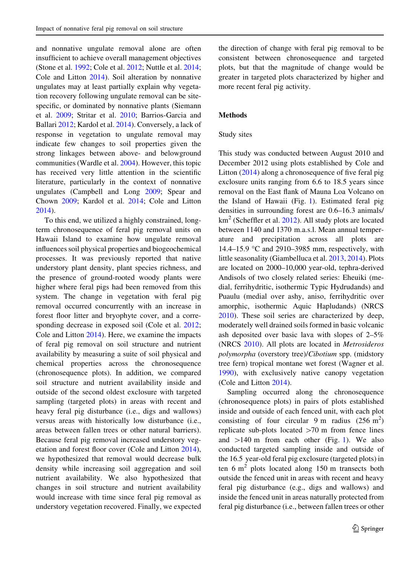and nonnative ungulate removal alone are often insufficient to achieve overall management objectives (Stone et al. [1992;](#page-13-0) Cole et al. [2012](#page-12-0); Nuttle et al. [2014](#page-13-0); Cole and Litton [2014\)](#page-12-0). Soil alteration by nonnative ungulates may at least partially explain why vegetation recovery following ungulate removal can be sitespecific, or dominated by nonnative plants (Siemann et al. [2009;](#page-13-0) Stritar et al. [2010](#page-13-0); Barrios-Garcia and Ballari [2012;](#page-11-0) Kardol et al. [2014](#page-12-0)). Conversely, a lack of response in vegetation to ungulate removal may indicate few changes to soil properties given the strong linkages between above- and belowground communities (Wardle et al. [2004\)](#page-13-0). However, this topic has received very little attention in the scientific literature, particularly in the context of nonnative ungulates (Campbell and Long [2009](#page-12-0); Spear and Chown [2009](#page-13-0); Kardol et al. [2014](#page-12-0); Cole and Litton [2014\)](#page-12-0).

To this end, we utilized a highly constrained, longterm chronosequence of feral pig removal units on Hawaii Island to examine how ungulate removal influences soil physical properties and biogeochemical processes. It was previously reported that native understory plant density, plant species richness, and the presence of ground-rooted woody plants were higher where feral pigs had been removed from this system. The change in vegetation with feral pig removal occurred concurrently with an increase in forest floor litter and bryophyte cover, and a corre-sponding decrease in exposed soil (Cole et al. [2012](#page-12-0); Cole and Litton [2014](#page-12-0)). Here, we examine the impacts of feral pig removal on soil structure and nutrient availability by measuring a suite of soil physical and chemical properties across the chronosequence (chronosequence plots). In addition, we compared soil structure and nutrient availability inside and outside of the second oldest exclosure with targeted sampling (targeted plots) in areas with recent and heavy feral pig disturbance (i.e., digs and wallows) versus areas with historically low disturbance (i.e., areas between fallen trees or other natural barriers). Because feral pig removal increased understory vegetation and forest floor cover (Cole and Litton [2014](#page-12-0)), we hypothesized that removal would decrease bulk density while increasing soil aggregation and soil nutrient availability. We also hypothesized that changes in soil structure and nutrient availability would increase with time since feral pig removal as understory vegetation recovered. Finally, we expected

the direction of change with feral pig removal to be consistent between chronosequence and targeted plots, but that the magnitude of change would be greater in targeted plots characterized by higher and more recent feral pig activity.

## Methods

### Study sites

This study was conducted between August 2010 and December 2012 using plots established by Cole and Litton [\(2014](#page-12-0)) along a chronosequence of five feral pig exclosure units ranging from 6.6 to 18.5 years since removal on the East flank of Mauna Loa Volcano on the Island of Hawaii (Fig. [1](#page-3-0)). Estimated feral pig densities in surrounding forest are 0.6–16.3 animals/  $km<sup>2</sup>$  (Scheffler et al. [2012](#page-13-0)). All study plots are located between 1140 and 1370 m.a.s.l. Mean annual temperature and precipitation across all plots are 14.4–15.9 °C and 2910–3985 mm, respectively, with little seasonality (Giambelluca et al. [2013](#page-12-0), [2014\)](#page-12-0). Plots are located on 2000–10,000 year-old, tephra-derived Andisols of two closely related series: Eheuiki (medial, ferrihydritic, isothermic Typic Hydrudands) and Puaulu (medial over ashy, aniso, ferrihydritic over amorphic, isothermic Aquic Hapludands) (NRCS [2010\)](#page-13-0). These soil series are characterized by deep, moderately well drained soils formed in basic volcanic ash deposited over basic lava with slopes of 2–5% (NRCS [2010\)](#page-13-0). All plots are located in Metrosideros polymorpha (overstory tree)/Cibotium spp. (midstory tree fern) tropical montane wet forest (Wagner et al. [1990\)](#page-13-0), with exclusively native canopy vegetation (Cole and Litton [2014](#page-12-0)).

Sampling occurred along the chronosequence (chronosequence plots) in pairs of plots established inside and outside of each fenced unit, with each plot consisting of four circular 9 m radius  $(256 \text{ m}^2)$ replicate sub-plots located  $>70$  m from fence lines and  $>140$  $>140$  $>140$  m from each other (Fig. 1). We also conducted targeted sampling inside and outside of the 16.5 year-old feral pig exclosure (targeted plots) in ten 6 m<sup>2</sup> plots located along 150 m transects both outside the fenced unit in areas with recent and heavy feral pig disturbance (e.g., digs and wallows) and inside the fenced unit in areas naturally protected from feral pig disturbance (i.e., between fallen trees or other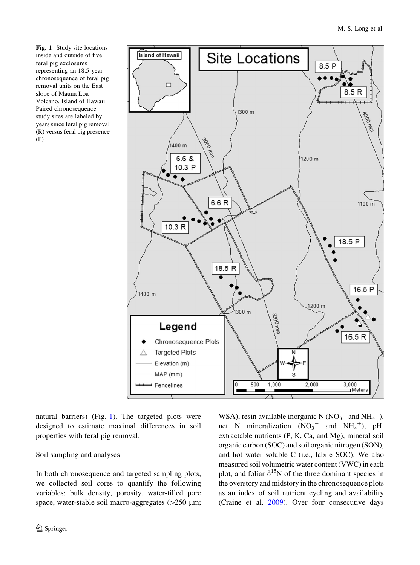<span id="page-3-0"></span>Fig. 1 Study site locations inside and outside of five feral pig exclosures representing an 18.5 year chronosequence of feral pig removal units on the East slope of Mauna Loa Volcano, Island of Hawaii. Paired chronosequence study sites are labeled by years since feral pig removal (R) versus feral pig presence (P)



natural barriers) (Fig. 1). The targeted plots were designed to estimate maximal differences in soil properties with feral pig removal.

# Soil sampling and analyses

In both chronosequence and targeted sampling plots, we collected soil cores to quantify the following variables: bulk density, porosity, water-filled pore space, water-stable soil macro-aggregates  $(>250 \mu m;$ 

WSA), resin available inorganic N  $(NO_3^-$  and  $NH_4^+)$ , net N mineralization  $(NO<sub>3</sub>^-$  and  $NH<sub>4</sub>^+), pH$ extractable nutrients (P, K, Ca, and Mg), mineral soil organic carbon (SOC) and soil organic nitrogen (SON), and hot water soluble C (i.e., labile SOC). We also measured soil volumetric water content (VWC) in each plot, and foliar  $\delta^{15}N$  of the three dominant species in the overstory and midstory in the chronosequence plots as an index of soil nutrient cycling and availability (Craine et al. [2009](#page-12-0)). Over four consecutive days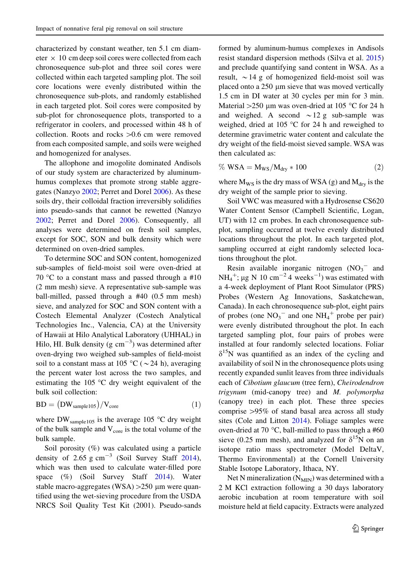characterized by constant weather, ten 5.1 cm diameter  $\times$  10 cm deep soil cores were collected from each chronosequence sub-plot and three soil cores were collected within each targeted sampling plot. The soil core locations were evenly distributed within the chronosequence sub-plots, and randomly established in each targeted plot. Soil cores were composited by sub-plot for chronosequence plots, transported to a refrigerator in coolers, and processed within 48 h of collection. Roots and rocks  $>0.6$  cm were removed from each composited sample, and soils were weighed and homogenized for analyses.

The allophone and imogolite dominated Andisols of our study system are characterized by aluminumhumus complexes that promote strong stable aggregates (Nanzyo [2002;](#page-13-0) Perret and Dorel [2006\)](#page-13-0). As these soils dry, their colloidal fraction irreversibly solidifies into pseudo-sands that cannot be rewetted (Nanzyo [2002;](#page-13-0) Perret and Dorel [2006](#page-13-0)). Consequently, all analyses were determined on fresh soil samples, except for SOC, SON and bulk density which were determined on oven-dried samples.

To determine SOC and SON content, homogenized sub-samples of field-moist soil were oven-dried at 70 °C to a constant mass and passed through a #10 (2 mm mesh) sieve. A representative sub-sample was ball-milled, passed through a #40 (0.5 mm mesh) sieve, and analyzed for SOC and SON content with a Costech Elemental Analyzer (Costech Analytical Technologies Inc., Valencia, CA) at the University of Hawaii at Hilo Analytical Laboratory (UHHAL) in Hilo, HI. Bulk density (g  $cm^{-3}$ ) was determined after oven-drying two weighed sub-samples of field-moist soil to a constant mass at 105 °C ( $\sim$  24 h), averaging the percent water lost across the two samples, and estimating the 105 °C dry weight equivalent of the bulk soil collection:

$$
BD = (DW_{sample105})/V_{core}
$$
 (1)

where DW<sub>sample105</sub> is the average 105  $\degree$ C dry weight of the bulk sample and  $V_{\text{core}}$  is the total volume of the bulk sample.

Soil porosity (%) was calculated using a particle density of  $2.65$  g cm<sup>-3</sup> (Soil Survey Staff [2014](#page-13-0)), which was then used to calculate water-filled pore space (%) (Soil Survey Staff [2014\)](#page-13-0). Water stable macro-aggregates (WSA)  $>250 \mu$ m were quantified using the wet-sieving procedure from the USDA NRCS Soil Quality Test Kit (2001). Pseudo-sands formed by aluminum-humus complexes in Andisols resist standard dispersion methods (Silva et al. [2015\)](#page-13-0) and preclude quantifying sand content in WSA. As a result,  $\sim$  14 g of homogenized field-moist soil was placed onto a 250 µm sieve that was moved vertically 1.5 cm in DI water at 30 cycles per min for 3 min. Material  $>250 \mu m$  was oven-dried at 105 °C for 24 h and weighed. A second  $\sim$  12 g sub-sample was weighed, dried at 105 °C for 24 h and reweighed to determine gravimetric water content and calculate the dry weight of the field-moist sieved sample. WSA was then calculated as:

$$
\% WSA = M_{WS}/M_{dry} * 100 \tag{2}
$$

where  $M_{WS}$  is the dry mass of WSA (g) and  $M_{\text{dry}}$  is the dry weight of the sample prior to sieving.

Soil VWC was measured with a Hydrosense CS620 Water Content Sensor (Campbell Scientific, Logan, UT) with 12 cm probes. In each chronosequence subplot, sampling occurred at twelve evenly distributed locations throughout the plot. In each targeted plot, sampling occurred at eight randomly selected locations throughout the plot.

Resin available inorganic nitrogen  $(NO<sub>3</sub>^-$  and  $NH_4^+$ ; µg N 10 cm<sup>-2</sup> 4 weeks<sup>-1</sup>) was estimated with a 4-week deployment of Plant Root Simulator (PRS) Probes (Western Ag Innovations, Saskatchewan, Canada). In each chronosequence sub-plot, eight pairs of probes (one  $NO_3^-$  and one  $NH_4^+$  probe per pair) were evenly distributed throughout the plot. In each targeted sampling plot, four pairs of probes were installed at four randomly selected locations. Foliar  $\delta^{15}$ N was quantified as an index of the cycling and availability of soil N in the chronosequence plots using recently expanded sunlit leaves from three individuals each of Cibotium glaucum (tree fern), Cheirodendron trigynum (mid-canopy tree) and M. polymorpha (canopy tree) in each plot. These three species comprise  $>95\%$  of stand basal area across all study sites (Cole and Litton [2014](#page-12-0)). Foliage samples were oven-dried at 70 °C, ball-milled to pass through a #60 sieve (0.25 mm mesh), and analyzed for  $\delta^{15}N$  on an isotope ratio mass spectrometer (Model DeltaV, Thermo Environmental) at the Cornell University Stable Isotope Laboratory, Ithaca, NY.

Net N mineralization  $(N_{MIN})$  was determined with a 2 M KCl extraction following a 30 days laboratory aerobic incubation at room temperature with soil moisture held at field capacity. Extracts were analyzed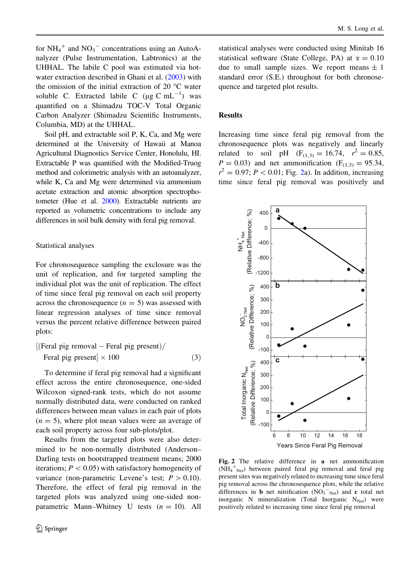<span id="page-5-0"></span>for  $NH_4^+$  and  $NO_3^-$  concentrations using an AutoAnalyzer (Pulse Instrumentation, Labtronics) at the UHHAL. The labile C pool was estimated via hotwater extraction described in Ghani et al. [\(2003](#page-12-0)) with the omission of the initial extraction of 20 °C water soluble C. Extracted labile C ( $\mu$ g C mL<sup>-1</sup>) was quantified on a Shimadzu TOC-V Total Organic Carbon Analyzer (Shimadzu Scientific Instruments, Columbia, MD) at the UHHAL.

Soil pH, and extractable soil P, K, Ca, and Mg were determined at the University of Hawaii at Manoa Agricultural Diagnostics Service Center, Honolulu, HI. Extractable P was quantified with the Modified-Truog method and colorimetric analysis with an autoanalyzer, while K, Ca and Mg were determined via ammonium acetate extraction and atomic absorption spectrophotometer (Hue et al. [2000\)](#page-12-0). Extractable nutrients are reported as volumetric concentrations to include any differences in soil bulk density with feral pig removal.

#### Statistical analyses

For chronosequence sampling the exclosure was the unit of replication, and for targeted sampling the individual plot was the unit of replication. The effect of time since feral pig removal on each soil property across the chronosequence  $(n = 5)$  was assessed with linear regression analyses of time since removal versus the percent relative difference between paired plots:

$$
[(\text{Feral pig removal} - \text{Feral pig present}) / \text{Feral pig present}] \times 100 \tag{3}
$$

To determine if feral pig removal had a significant effect across the entire chronosequence, one-sided Wilcoxon signed-rank tests, which do not assume normally distributed data, were conducted on ranked differences between mean values in each pair of plots  $(n = 5)$ , where plot mean values were an average of each soil property across four sub-plots/plot.

Results from the targeted plots were also determined to be non-normally distributed (Anderson– Darling tests on bootstrapped treatment means; 2000 iterations;  $P < 0.05$ ) with satisfactory homogeneity of variance (non-parametric Levene's test;  $P > 0.10$ ). Therefore, the effect of feral pig removal in the targeted plots was analyzed using one-sided nonparametric Mann–Whitney U tests  $(n = 10)$ . All statistical analyses were conducted using Minitab 16 statistical software (State College, PA) at  $\alpha = 0.10$ due to small sample sizes. We report means  $\pm 1$ standard error (S.E.) throughout for both chronosequence and targeted plot results.

### Results

Increasing time since feral pig removal from the chronosequence plots was negatively and linearly related to soil pH  $(F_{(1,3)} = 16.74, r^2 = 0.85,$  $P = 0.03$ ) and net ammonification (F<sub>(1,3)</sub> = 95.34,  $r^2 = 0.97$ ;  $P < 0.01$ ; Fig. 2a). In addition, increasing time since feral pig removal was positively and



Fig. 2 The relative difference in a net ammonification (NH<sub>4</sub><sup>+</sup><sub>Net</sub>) between paired feral pig removal and feral pig present sites was negatively related to increasing time since feral pig removal across the chronosequence plots, while the relative differences in **b** net nitrification  $(NO<sub>3</sub><sup>-</sup><sub>Net</sub>)$  and **c** total net inorganic N mineralization (Total Inorganic  $N_{Net}$ ) were positively related to increasing time since feral pig removal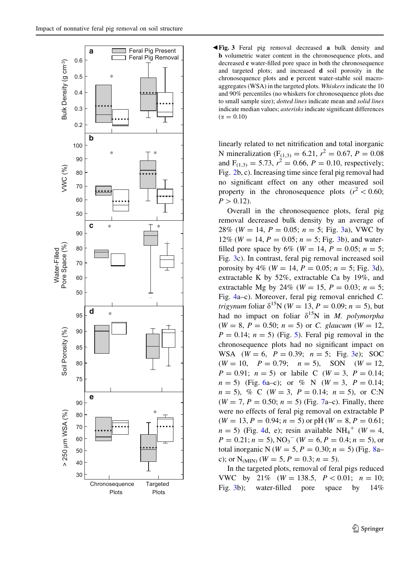<span id="page-6-0"></span>

b Fig. 3 Feral pig removal decreased a bulk density and b volumetric water content in the chronosequence plots, and decreased c water-filled pore space in both the chronosequence and targeted plots; and increased d soil porosity in the chronosequence plots and e percent water-stable soil macroaggregates (WSA) in the targeted plots. Whiskers indicate the 10 and 90% percentiles (no whiskers for chronosequence plots due to small sample size); dotted lines indicate mean and solid lines indicate median values; asterisks indicate significant differences  $(\alpha = 0.10)$ 

linearly related to net nitrification and total inorganic N mineralization ( $F_{(1,3)} = 6.21$ ,  $r^2 = 0.67$ ,  $P = 0.08$ and  $F_{(1,3)} = 5.73$ ,  $r^2 = 0.66$ ,  $P = 0.10$ , respectively; Fig. [2b](#page-5-0), c). Increasing time since feral pig removal had no significant effect on any other measured soil property in the chronosequence plots  $(r^2 < 0.60;$  $P > 0.12$ ).

Overall in the chronosequence plots, feral pig removal decreased bulk density by an average of 28% ( $W = 14$ ,  $P = 0.05$ ;  $n = 5$ ; Fig. 3a), VWC by 12% ( $W = 14$ ,  $P = 0.05$ ;  $n = 5$ ; Fig. 3b), and waterfilled pore space by 6% ( $W = 14$ ,  $P = 0.05$ ;  $n = 5$ ; Fig. 3c). In contrast, feral pig removal increased soil porosity by 4% ( $W = 14$ ,  $P = 0.05$ ;  $n = 5$ ; Fig. 3d), extractable K by 52%, extractable Ca by 19%, and extractable Mg by 24% ( $W = 15$ ,  $P = 0.03$ ;  $n = 5$ ; Fig. [4](#page-7-0)a–c). Moreover, feral pig removal enriched C. *trigynum* foliar  $\delta^{15}N$  (*W* = 13, *P* = 0.09; *n* = 5), but had no impact on foliar  $\delta^{15}N$  in *M. polymorpha*  $(W = 8, P = 0.50; n = 5)$  or C. glaucum  $(W = 12,$  $P = 0.14$ ;  $n = 5$ ) (Fig. [5\)](#page-8-0). Feral pig removal in the chronosequence plots had no significant impact on WSA  $(W = 6, P = 0.39; n = 5; Fig. 3e); SOC$  $(W = 10, P = 0.79; n = 5)$ , SON  $(W = 12,$  $P = 0.91$ ;  $n = 5$ ) or labile C ( $W = 3$ ,  $P = 0.14$ ;  $n = 5$ ) (Fig. [6](#page-8-0)a–c); or % N (W = 3, P = 0.14;  $n = 5$ , % C (W = 3, P = 0.14;  $n = 5$ ), or C:N  $(W = 7, P = 0.50; n = 5)$  $(W = 7, P = 0.50; n = 5)$  $(W = 7, P = 0.50; n = 5)$  (Fig. 7a–c). Finally, there were no effects of feral pig removal on extractable P  $(W = 13, P = 0.94; n = 5)$  or pH  $(W = 8, P = 0.61;$  $n = 5$ ) (Fig. [4d](#page-7-0), e); resin available NH<sub>4</sub><sup>+</sup> (W = 4,  $P = 0.21; n = 5$ ,  $NO<sub>3</sub><sup>-</sup>$  ( $W = 6, P = 0.4; n = 5$ ), or total inorganic N ( $W = 5, P = 0.30; n = 5$ ) (Fig. [8a](#page-9-0)– c); or  $N_{(MIN)}$  ( $W = 5$ ,  $P = 0.3$ ;  $n = 5$ ).

In the targeted plots, removal of feral pigs reduced VWC by 21% ( $W = 138.5$ ,  $P < 0.01$ ;  $n = 10$ ; Fig. 3b); water-filled pore space by  $14\%$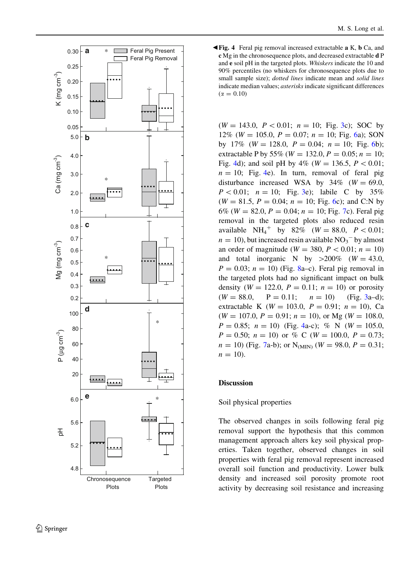<span id="page-7-0"></span>

b Fig. 4 Feral pig removal increased extractable a K, b Ca, and c Mg in the chronosequence plots, and decreased extractable d P and e soil pH in the targeted plots. Whiskers indicate the 10 and 90% percentiles (no whiskers for chronosequence plots due to small sample size); *dotted lines* indicate mean and *solid lines* indicate median values; asterisks indicate significant differences  $(\alpha = 0.10)$ 

 $(W = 143.0, P < 0.01; n = 10;$  Fig. [3c](#page-6-0)); SOC by 12% (W = 105.0,  $P = 0.07$ ;  $n = 10$ ; Fig. [6](#page-8-0)a); SON by 17% ( $W = 128.0$ ,  $P = 0.04$ ;  $n = 10$ ; Fig. [6](#page-8-0)b); extractable P by 55% ( $W = 132.0, P = 0.05; n = 10;$ Fig. 4d); and soil pH by  $4\%$  (W = 136.5, P < 0.01;  $n = 10$ ; Fig. 4e). In turn, removal of feral pig disturbance increased WSA by  $34\%$  (W = 69.0,  $P < 0.01$ ;  $n = 10$ ; Fig. [3](#page-6-0)e); labile C by 35%  $(W = 81.5, P = 0.04; n = 10; Fig. 6c);$  $(W = 81.5, P = 0.04; n = 10; Fig. 6c);$  $(W = 81.5, P = 0.04; n = 10; Fig. 6c);$  and C:N by 6% ( $W = 82.0, P = 0.04; n = 10;$  Fig. [7c](#page-9-0)). Feral pig removal in the targeted plots also reduced resin available  $NH_4^+$  by 82% ( $W = 88.0, P < 0.01;$  $n = 10$ ), but increased resin available NO<sub>3</sub><sup>-</sup> by almost an order of magnitude ( $W = 380$ ,  $P < 0.01$ ;  $n = 10$ ) and total inorganic N by  $>200\%$  (W = 43.0,  $P = 0.03$ ;  $n = 10$ ) (Fig. [8a](#page-9-0)–c). Feral pig removal in the targeted plots had no significant impact on bulk density ( $W = 122.0$ ,  $P = 0.11$ ;  $n = 10$ ) or porosity  $(W = 88.0, P = 0.11; n = 10)$  (Fig. [3a](#page-6-0)–d); extractable K ( $W = 103.0$ ,  $P = 0.91$ ;  $n = 10$ ), Ca  $(W = 107.0, P = 0.91; n = 10)$ , or Mg  $(W = 108.0,$  $P = 0.85$ ;  $n = 10$ ) (Fig. 4a-c); % N (W = 105.0,  $P = 0.50; n = 10$  or % C (W = 100.0,  $P = 0.73;$  $n = 10$ ) (Fig. [7a](#page-9-0)-b); or N<sub>(MIN)</sub> ( $W = 98.0, P = 0.31;$  $n = 10$ ).

# Discussion

# Soil physical properties

The observed changes in soils following feral pig removal support the hypothesis that this common management approach alters key soil physical properties. Taken together, observed changes in soil properties with feral pig removal represent increased overall soil function and productivity. Lower bulk density and increased soil porosity promote root activity by decreasing soil resistance and increasing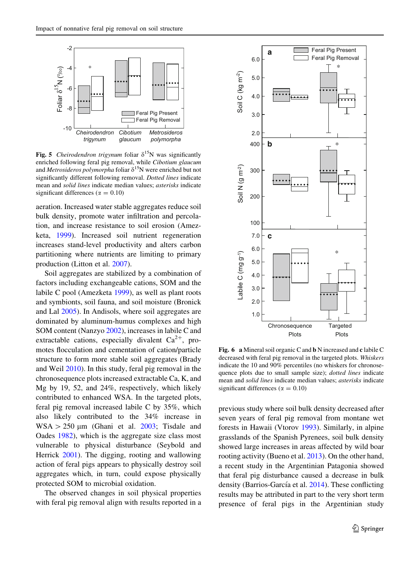<span id="page-8-0"></span>

Fig. 5 Cheirodendron trigynum foliar  $\delta^{15}N$  was significantly enriched following feral pig removal, while Cibotium glaucum and Metrosideros polymorpha foliar  $\delta^{15}N$  were enriched but not significantly different following removal. Dotted lines indicate mean and solid lines indicate median values; asterisks indicate significant differences ( $\alpha = 0.10$ )

aeration. Increased water stable aggregates reduce soil bulk density, promote water infiltration and percolation, and increase resistance to soil erosion (Amezketa, [1999](#page-11-0)). Increased soil nutrient regeneration increases stand-level productivity and alters carbon partitioning where nutrients are limiting to primary production (Litton et al. [2007](#page-12-0)).

Soil aggregates are stabilized by a combination of factors including exchangeable cations, SOM and the labile C pool (Amezketa [1999\)](#page-11-0), as well as plant roots and symbionts, soil fauna, and soil moisture (Bronick and Lal [2005](#page-12-0)). In Andisols, where soil aggregates are dominated by aluminum-humus complexes and high SOM content (Nanzyo [2002](#page-13-0)), increases in labile C and extractable cations, especially divalent  $Ca^{2+}$ , promotes flocculation and cementation of cation/particle structure to form more stable soil aggregates (Brady and Weil [2010\)](#page-11-0). In this study, feral pig removal in the chronosequence plots increased extractable Ca, K, and Mg by 19, 52, and 24%, respectively, which likely contributed to enhanced WSA. In the targeted plots, feral pig removal increased labile C by 35%, which also likely contributed to the 34% increase in  $WSA > 250 \mu m$  (Ghani et al. [2003](#page-12-0); Tisdale and Oades [1982](#page-13-0)), which is the aggregate size class most vulnerable to physical disturbance (Seybold and Herrick [2001](#page-13-0)). The digging, rooting and wallowing action of feral pigs appears to physically destroy soil aggregates which, in turn, could expose physically protected SOM to microbial oxidation.

The observed changes in soil physical properties with feral pig removal align with results reported in a



Fig. 6 a Mineral soil organic C and b N increased and c labile C decreased with feral pig removal in the targeted plots. Whiskers indicate the 10 and 90% percentiles (no whiskers for chronosequence plots due to small sample size); dotted lines indicate mean and solid lines indicate median values; asterisks indicate significant differences ( $\alpha = 0.10$ )

previous study where soil bulk density decreased after seven years of feral pig removal from montane wet forests in Hawaii (Vtorov [1993\)](#page-13-0). Similarly, in alpine grasslands of the Spanish Pyrenees, soil bulk density showed large increases in areas affected by wild boar rooting activity (Bueno et al. [2013\)](#page-12-0). On the other hand, a recent study in the Argentinian Patagonia showed that feral pig disturbance caused a decrease in bulk density (Barrios-García et al. [2014](#page-11-0)). These conflicting results may be attributed in part to the very short term presence of feral pigs in the Argentinian study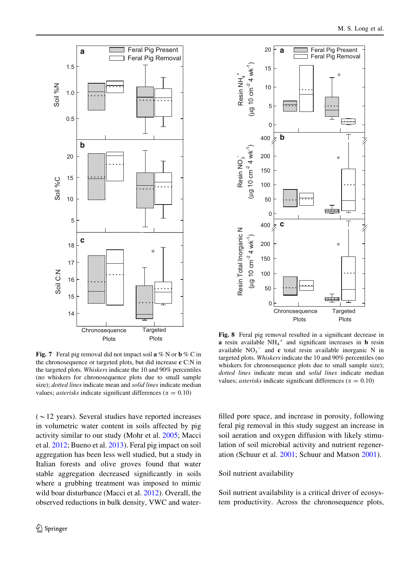<span id="page-9-0"></span>

Fig. 7 Feral pig removal did not impact soil  $a \% N$  or  $b \% C$  in the chronosequence or targeted plots, but did increase c C:N in the targeted plots. Whiskers indicate the 10 and 90% percentiles (no whiskers for chronosequence plots due to small sample size); dotted lines indicate mean and solid lines indicate median values; *asterisks* indicate significant differences ( $\alpha = 0.10$ )

 $(\sim 12$  years). Several studies have reported increases in volumetric water content in soils affected by pig activity similar to our study (Mohr et al. [2005;](#page-13-0) Macci et al. [2012;](#page-13-0) Bueno et al. [2013](#page-12-0)). Feral pig impact on soil aggregation has been less well studied, but a study in Italian forests and olive groves found that water stable aggregation decreased significantly in soils where a grubbing treatment was imposed to mimic wild boar disturbance (Macci et al. [2012](#page-13-0)). Overall, the observed reductions in bulk density, VWC and water-



Fig. 8 Feral pig removal resulted in a significant decrease in **a** resin available  $NH_4^+$  and significant increases in **b** resin available  $NO<sub>3</sub><sup>-</sup>$  and c total resin available inorganic N in targeted plots. Whiskers indicate the 10 and 90% percentiles (no whiskers for chronosequence plots due to small sample size); dotted lines indicate mean and solid lines indicate median values; *asterisks* indicate significant differences ( $\alpha = 0.10$ )

filled pore space, and increase in porosity, following feral pig removal in this study suggest an increase in soil aeration and oxygen diffusion with likely stimulation of soil microbial activity and nutrient regeneration (Schuur et al. [2001;](#page-13-0) Schuur and Matson [2001](#page-13-0)).

### Soil nutrient availability

Soil nutrient availability is a critical driver of ecosystem productivity. Across the chronosequence plots,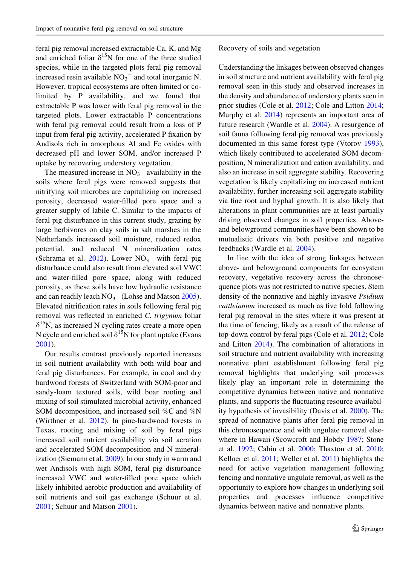feral pig removal increased extractable Ca, K, and Mg and enriched foliar  $\delta^{15}N$  for one of the three studied species, while in the targeted plots feral pig removal increased resin available  $NO<sub>3</sub><sup>-</sup>$  and total inorganic N. However, tropical ecosystems are often limited or colimited by P availability, and we found that extractable P was lower with feral pig removal in the targeted plots. Lower extractable P concentrations with feral pig removal could result from a loss of P input from feral pig activity, accelerated P fixation by Andisols rich in amorphous Al and Fe oxides with decreased pH and lower SOM, and/or increased P uptake by recovering understory vegetation.

The measured increase in  $NO_3$ <sup>-</sup> availability in the soils where feral pigs were removed suggests that nitrifying soil microbes are capitalizing on increased porosity, decreased water-filled pore space and a greater supply of labile C. Similar to the impacts of feral pig disturbance in this current study, grazing by large herbivores on clay soils in salt marshes in the Netherlands increased soil moisture, reduced redox potential, and reduced N mineralization rates (Schrama et al.  $2012$ ). Lower  $NO<sub>3</sub><sup>-</sup>$  with feral pig disturbance could also result from elevated soil VWC and water-filled pore space, along with reduced porosity, as these soils have low hydraulic resistance and can readily leach  $NO_3^-$  (Lohse and Matson [2005](#page-13-0)). Elevated nitrification rates in soils following feral pig removal was reflected in enriched C. trigynum foliar  $\delta^{15}$ N, as increased N cycling rates create a more open N cycle and enriched soil  $\delta^{15}N$  for plant uptake (Evans [2001\)](#page-12-0).

Our results contrast previously reported increases in soil nutrient availability with both wild boar and feral pig disturbances. For example, in cool and dry hardwood forests of Switzerland with SOM-poor and sandy-loam textured soils, wild boar rooting and mixing of soil stimulated microbial activity, enhanced SOM decomposition, and increased soil %C and %N (Wirthner et al. [2012](#page-14-0)). In pine-hardwood forests in Texas, rooting and mixing of soil by feral pigs increased soil nutrient availability via soil aeration and accelerated SOM decomposition and N mineralization (Siemann et al. [2009\)](#page-13-0). In our study in warm and wet Andisols with high SOM, feral pig disturbance increased VWC and water-filled pore space which likely inhibited aerobic production and availability of soil nutrients and soil gas exchange (Schuur et al. [2001;](#page-13-0) Schuur and Matson [2001](#page-13-0)).

#### Recovery of soils and vegetation

Understanding the linkages between observed changes in soil structure and nutrient availability with feral pig removal seen in this study and observed increases in the density and abundance of understory plants seen in prior studies (Cole et al. [2012;](#page-12-0) Cole and Litton [2014](#page-12-0); Murphy et al. [2014\)](#page-13-0) represents an important area of future research (Wardle et al. [2004\)](#page-13-0). A resurgence of soil fauna following feral pig removal was previously documented in this same forest type (Vtorov [1993](#page-13-0)), which likely contributed to accelerated SOM decomposition, N mineralization and cation availability, and also an increase in soil aggregate stability. Recovering vegetation is likely capitalizing on increased nutrient availability, further increasing soil aggregate stability via fine root and hyphal growth. It is also likely that alterations in plant communities are at least partially driving observed changes in soil properties. Aboveand belowground communities have been shown to be mutualistic drivers via both positive and negative feedbacks (Wardle et al. [2004\)](#page-13-0).

In line with the idea of strong linkages between above- and belowground components for ecosystem recovery, vegetative recovery across the chronosequence plots was not restricted to native species. Stem density of the nonnative and highly invasive Psidium cattleianum increased as much as five fold following feral pig removal in the sites where it was present at the time of fencing, likely as a result of the release of top-down control by feral pigs (Cole et al. [2012](#page-12-0); Cole and Litton [2014\)](#page-12-0). The combination of alterations in soil structure and nutrient availability with increasing nonnative plant establishment following feral pig removal highlights that underlying soil processes likely play an important role in determining the competitive dynamics between native and nonnative plants, and supports the fluctuating resource availability hypothesis of invasibility (Davis et al. [2000\)](#page-12-0). The spread of nonnative plants after feral pig removal in this chronosequence and with ungulate removal elsewhere in Hawaii (Scowcroft and Hobdy [1987](#page-13-0); Stone et al. [1992;](#page-13-0) Cabin et al. [2000;](#page-12-0) Thaxton et al. [2010](#page-13-0); Kellner et al. [2011](#page-12-0); Weller et al. [2011\)](#page-14-0) highlights the need for active vegetation management following fencing and nonnative ungulate removal, as well as the opportunity to explore how changes in underlying soil properties and processes influence competitive dynamics between native and nonnative plants.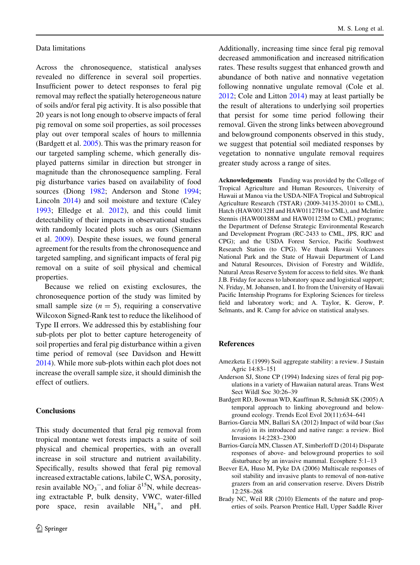### <span id="page-11-0"></span>Data limitations

Across the chronosequence, statistical analyses revealed no difference in several soil properties. Insufficient power to detect responses to feral pig removal may reflect the spatially heterogeneous nature of soils and/or feral pig activity. It is also possible that 20 years is not long enough to observe impacts of feral pig removal on some soil properties, as soil processes play out over temporal scales of hours to millennia (Bardgett et al. 2005). This was the primary reason for our targeted sampling scheme, which generally displayed patterns similar in direction but stronger in magnitude than the chronosequence sampling. Feral pig disturbance varies based on availability of food sources (Diong [1982;](#page-12-0) Anderson and Stone 1994; Lincoln [2014\)](#page-12-0) and soil moisture and texture (Caley [1993;](#page-12-0) Elledge et al. [2012\)](#page-12-0), and this could limit detectability of their impacts in observational studies with randomly located plots such as ours (Siemann et al. [2009](#page-13-0)). Despite these issues, we found general agreement for the results from the chronosequence and targeted sampling, and significant impacts of feral pig removal on a suite of soil physical and chemical properties.

Because we relied on existing exclosures, the chronosequence portion of the study was limited by small sample size  $(n = 5)$ , requiring a conservative Wilcoxon Signed-Rank test to reduce the likelihood of Type II errors. We addressed this by establishing four sub-plots per plot to better capture heterogeneity of soil properties and feral pig disturbance within a given time period of removal (see Davidson and Hewitt [2014\)](#page-12-0). While more sub-plots within each plot does not increase the overall sample size, it should diminish the effect of outliers.

### **Conclusions**

This study documented that feral pig removal from tropical montane wet forests impacts a suite of soil physical and chemical properties, with an overall increase in soil structure and nutrient availability. Specifically, results showed that feral pig removal increased extractable cations, labile C, WSA, porosity, resin available  $NO_3^-$ , and foliar  $\delta^{15}N$ , while decreasing extractable P, bulk density, VWC, water-filled pore space, resin available  $NH_4^+$ , and pH.

Additionally, increasing time since feral pig removal decreased ammonification and increased nitrification rates. These results suggest that enhanced growth and abundance of both native and nonnative vegetation following nonnative ungulate removal (Cole et al. [2012;](#page-12-0) Cole and Litton [2014\)](#page-12-0) may at least partially be the result of alterations to underlying soil properties that persist for some time period following their removal. Given the strong links between aboveground and belowground components observed in this study, we suggest that potential soil mediated responses by vegetation to nonnative ungulate removal requires greater study across a range of sites.

Acknowledgements Funding was provided by the College of Tropical Agriculture and Human Resources, University of Hawaii at Manoa via the USDA-NIFA Tropical and Subtropical Agriculture Research (TSTAR) (2009-34135-20101 to CML), Hatch (HAW00132H and HAW01127H to CML), and McIntire Stennis (HAW00188M and HAW01123M to CML) programs; the Department of Defense Strategic Environmental Research and Development Program (RC-2433 to CML, JPS, RJC and CPG); and the USDA Forest Service, Pacific Southwest Research Station (to CPG). We thank Hawaii Volcanoes National Park and the State of Hawaii Department of Land and Natural Resources, Division of Forestry and Wildlife, Natural Areas Reserve System for access to field sites. We thank J.B. Friday for access to laboratory space and logistical support; N. Friday, M. Johansen, and I. Ito from the University of Hawaii Pacific Internship Programs for Exploring Sciences for tireless field and laboratory work; and A. Taylor, K. Gerow, P. Selmants, and R. Camp for advice on statistical analyses.

#### References

- Amezketa E (1999) Soil aggregate stability: a review. J Sustain Agric 14:83–151
- Anderson SJ, Stone CP (1994) Indexing sizes of feral pig populations in a variety of Hawaiian natural areas. Trans West Sect Wildl Soc 30:26–39
- Bardgett RD, Bowman WD, Kauffman R, Schmidt SK (2005) A temporal approach to linking aboveground and belowground ecology. Trends Ecol Evol 20(11):634–641
- Barrios-Garcia MN, Ballari SA (2012) Impact of wild boar (Sus scrofa) in its introduced and native range: a review. Biol Invasions 14:2283–2300
- Barrios-García MN, Classen AT, Simberloff D (2014) Disparate responses of above- and belowground properties to soil disturbance by an invasive mammal. Ecosphere 5:1–13
- Beever EA, Huso M, Pyke DA (2006) Multiscale responses of soil stability and invasive plants to removal of non-native grazers from an arid conservation reserve. Divers Distrib 12:258–268
- Brady NC, Weil RR (2010) Elements of the nature and properties of soils. Pearson Prentice Hall, Upper Saddle River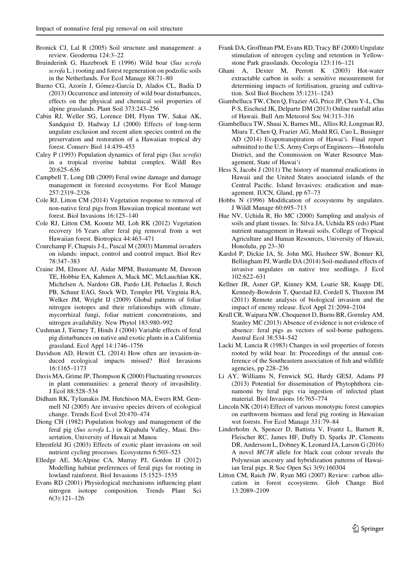- <span id="page-12-0"></span>Bronick CJ, Lal R (2005) Soil structure and management: a review. Geoderma 124:3–22
- Bruinderink G, Hazebroek E (1996) Wild boar (Sus scrofa scrofa L.) rooting and forest regeneration on podzolic soils in the Netherlands. For Ecol Manage 88:71–80
- Bueno CG, Azorín J, Gómez-García D, Alados CL, Badía D (2013) Occurrence and intensity of wild boar disturbances, effects on the physical and chemical soil properties of alpine grasslands. Plant Soil 373:243–256
- Cabin RJ, Weller SG, Lorence DH, Flynn TW, Sakai AK, Sandquist D, Hadway LJ (2000) Effects of long-term ungulate exclusion and recent alien species control on the preservation and restoration of a Hawaiian tropical dry forest. Conserv Biol 14:439–453
- Caley P (1993) Population dynamics of feral pigs (Sus scrofa) in a tropical riverine habitat complex. Wildl Res 20:625–636
- Campbell T, Long DB (2009) Feral swine damage and damage management in forested ecosystems. For Ecol Manage 257:2319–2326
- Cole RJ, Litton CM (2014) Vegetation response to removal of non-native feral pigs from Hawaiian tropical montane wet forest. Biol Invasions 16:125–140
- Cole RJ, Litton CM, Koontz MJ, Loh RK (2012) Vegetation recovery 16 Years after feral pig removal from a wet Hawaiian forest. Biotropica 44:463–471
- Courchamp F, Chapuis J-L, Pascal M (2003) Mammal invaders on islands: impact, control and control impact. Biol Rev 78:347–383
- Craine JM, Elmore AJ, Aidar MPM, Bustamante M, Dawson TE, Hobbie EA, Kahmen A, Mack MC, McLauchlan KK, Michelsen A, Nardoto GB, Pardo LH, Peñuelas J, Reich PB, Schuur EAG, Stock WD, Templer PH, Virginia RA, Welker JM, Wright IJ (2009) Global patterns of foliar nitrogen isotopes and their relationships with climate, mycorrhizal fungi, foliar nutrient concentrations, and nitrogen availability. New Phytol 183:980–992
- Cushman J, Tierney T, Hinds J (2004) Variable effects of feral pig disturbances on native and exotic plants in a California grassland. Ecol Appl 14:1746–1756
- Davidson AD, Hewitt CL (2014) How often are invasion-induced ecological impacts missed? Biol Invasions 16:1165–1173
- Davis MA, Grime JP, Thompson K (2000) Fluctuating resources in plant communities: a general theory of invasibility. J Ecol 88:528–534
- Didham RK, Tylianakis JM, Hutchison MA, Ewers RM, Gemmell NJ (2005) Are invasive species drivers of ecological change. Trends Ecol Evol 20:470–474
- Diong CH (1982) Population biology and management of the feral pig (Sus scrofa L.) in Kipahulu Valley, Maui. Dissertation, University of Hawaii at Manoa
- Ehrenfeld JG (2003) Effects of exotic plant invasions on soil nutrient cycling processes. Ecosystems 6:503–523
- Elledge AE, McAlpine CA, Murray PJ, Gordon IJ (2012) Modelling habitat preferences of feral pigs for rooting in lowland rainforest. Biol Invasions 15:1523–1535
- Evans RD (2001) Physiological mechanisms influencing plant nitrogen isotope composition. Trends Plant Sci 6(3):121–126
- Frank DA, Groffman PM, Evans RD, Tracy BF (2000) Ungulate stimulation of nitrogen cycling and retention in Yellowstone Park grasslands. Oecologia 123:116–121
- Ghani A, Dexter M, Perrott K (2003) Hot-water extractable carbon in soils: a sensitive measurement for determining impacts of fertilisation, grazing and cultivation. Soil Biol Biochem 35:1231–1243
- Giambelluca TW, Chen Q, Frazier AG, Price JP, Chen Y-L, Chu P-S, Eischeid JK, Delparte DM (2013) Online rainfall atlas of Hawaii. Bull Am Meteorol Soc 94:313–316
- Giambelluca TW, Shuai X, Barnes ML, Alliss RJ, Longman RJ, Miura T, Chen Q, Frazier AG, Mudd RG, Cuo L, Businger AD (2014) Evapotranspiration of Hawai'i. Final report submitted to the U.S. Army Corps of Engineers—Honolulu District, and the Commission on Water Resource Management, State of Hawai'i
- Hess S, Jacobi J (2011) The history of mammal eradications in Hawaii and the United States associated islands of the Central Pacific. Island Invasives: eradication and management. IUCN, Gland, pp 67–73
- Hobbs N (1996) Modification of ecosystems by ungulates. J Wildl Manage 60:695–713
- Hue NV, Uchida R, Ho MC (2000) Sampling and analysis of soils and plant tissues. In: Silva JA, Uchida RS (eds) Plant nutrient management in Hawaii soils. College of Tropical Agriculture and Human Resources, University of Hawaii, Honolulu, pp 23–30
- Kardol P, Dickie IA, St. John MG, Husheer SW, Bonner KI, Bellingham PJ, Wardle DA (2014) Soil-mediated effects of invasive ungulates on native tree seedlings. J Ecol 102:622–631
- Kellner JR, Asner GP, Kinney KM, Loarie SR, Knapp DE, Kennedy-Bowdoin T, Questad EJ, Cordell S, Thaxton JM (2011) Remote analysis of biological invasion and the impact of enemy release. Ecol Appl 21:2094–2104
- Krull CR, Waipara NW, Choquenot D, Burns BR, Gormley AM, Stanley MC (2013) Absence of evidence is not evidence of absence: feral pigs as vectors of soil-borne pathogens. Austral Ecol 38:534–542
- Lacki M, Lancia R (1983) Changes in soil properties of forests rooted by wild boar. In: Proceedings of the annual conference of the Southeastern association of fish and wildlife agencies, pp 228–236
- Li AY, Williams N, Fenwick SG, Hardy GESJ, Adams PJ (2013) Potential for dissemination of Phytophthora cinnamomi by feral pigs via ingestion of infected plant material. Biol Invasions 16:765–774
- Lincoln NK (2014) Effect of various monotypic forest canopies on earthworm biomass and feral pig rooting in Hawaiian wet forests. For Ecol Manage 331:79–84
- Linderholm A, Spencer D, Battista V, Frantz L, Barnett R, Fleischer RC, James HF, Duffy D, Sparks JP, Clements DR, Andersson L, Dobney K, Leonard JA, Larson G (2016) A novel MC1R allele for black coat colour reveals the Polynesian ancestry and hybridization patterns of Hawaiian feral pigs. R Soc Open Sci 3(9):160304
- Litton CM, Raich JW, Ryan MG (2007) Review: carbon allocation in forest ecosystems. Glob Change Biol 13:2089–2109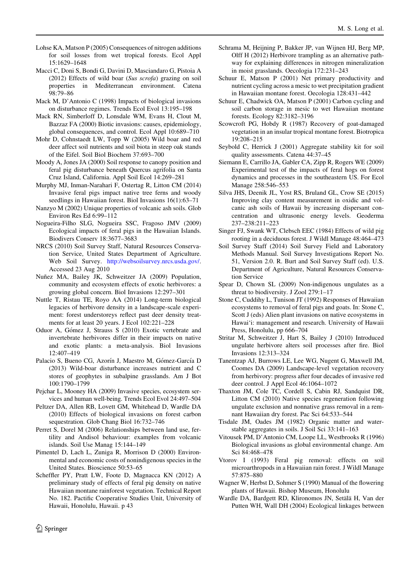- <span id="page-13-0"></span>Lohse KA, Matson P (2005) Consequences of nitrogen additions for soil losses from wet tropical forests. Ecol Appl 15:1629–1648
- Macci C, Doni S, Bondi G, Davini D, Masciandaro G, Pistoia A (2012) Effects of wild boar (Sus scrofa) grazing on soil properties in Mediterranean environment. Catena 98:79–86
- Mack M, D'Antonio C (1998) Impacts of biological invasions on disturbance regimes. Trends Ecol Evol 13:195–198
- Mack RN, Simberloff D, Lonsdale WM, Evans H, Clout M, Bazzaz FA (2000) Biotic invasions: causes, epidemiology, global consequences, and control. Ecol Appl 10:689–710
- Mohr D, Cohnstaedt LW, Topp W (2005) Wild boar and red deer affect soil nutrients and soil biota in steep oak stands of the Eifel. Soil Biol Biochem 37:693–700
- Moody A, Jones JA (2000) Soil response to canopy position and feral pig disturbance beneath Quercus agrifolia on Santa Cruz Island, California. Appl Soil Ecol 14:269–281
- Murphy MJ, Inman-Narahari F, Ostertag R, Litton CM (2014) Invasive feral pigs impact native tree ferns and woody seedlings in Hawaiian forest. Biol Invasions 16(1):63–71
- Nanzyo M (2002) Unique properties of volcanic ash soils. Glob Environ Res Ed 6:99–112
- Nogueira-Filho SLG, Nogueira SSC, Fragoso JMV (2009) Ecological impacts of feral pigs in the Hawaiian Islands. Biodivers Conserv 18:3677–3683
- NRCS (2010) Soil Survey Staff, Natural Resources Conservation Service, United States Department of Agriculture. Web Soil Survey. <http://websoilsurvey.nrcs.usda.gov/>. Accessed 23 Aug 2010
- Nuñez MA, Bailey JK, Schweitzer JA (2009) Population, community and ecosystem effects of exotic herbivores: a growing global concern. Biol Invasions 12:297–301
- Nuttle T, Ristau TE, Royo AA (2014) Long-term biological legacies of herbivore density in a landscape-scale experiment: forest understoreys reflect past deer density treatments for at least 20 years. J Ecol 102:221–228
- Oduor A, Gómez J, Strauss S (2010) Exotic vertebrate and invertebrate herbivores differ in their impacts on native and exotic plants: a meta-analysis. Biol Invasions 12:407–419
- Palacio S, Bueno CG, Azorín J, Maestro M, Gómez-García D (2013) Wild-boar disturbance increases nutrient and C stores of geophytes in subalpine grasslands. Am J Bot 100:1790–1799
- Pejchar L, Mooney HA (2009) Invasive species, ecosystem services and human well-being. Trends Ecol Evol 24:497–504
- Peltzer DA, Allen RB, Lovett GM, Whitehead D, Wardle DA (2010) Effects of biological invasions on forest carbon sequestration. Glob Chang Biol 16:732–746
- Perret S, Dorel M (2006) Relationships between land use, fertility and Andisol behaviour: examples from volcanic islands. Soil Use Manag 15:144–149
- Pimentel D, Lach L, Zuniga R, Morrison D (2000) Environmental and economic costs of nonindigenous species in the United States. Bioscience 50:53–65
- Scheffler PY, Pratt LW, Foote D, Magnacca KN (2012) A preliminary study of effects of feral pig density on native Hawaiian montane rainforest vegetation. Technical Report No. 182. Pactific Cooperative Studies Unit, University of Hawaii, Honolulu, Hawaii. p 43
- Schrama M, Heijning P, Bakker JP, van Wijnen HJ, Berg MP, Olff H (2012) Herbivore trampling as an alternative pathway for explaining differences in nitrogen mineralization in moist grasslands. Oecologia 172:231–243
- Schuur E, Matson P (2001) Net primary productivity and nutrient cycling across a mesic to wet precipitation gradient in Hawaiian montane forest. Oecologia 128:431–442
- Schuur E, Chadwick OA, Matson P (2001) Carbon cycling and soil carbon storage in mesic to wet Hawaiian montane forests. Ecology 82:3182–3196
- Scowcroft PG, Hobdy R (1987) Recovery of goat-damaged vegetation in an insular tropical montane forest. Biotropica 19:208–215
- Seybold C, Herrick J (2001) Aggregate stability kit for soil quality assessments. Catena 44:37–45
- Siemann E, Carrillo JA, Gabler CA, Zipp R, Rogers WE (2009) Experimental test of the impacts of feral hogs on forest dynamics and processes in the southeastern US. For Ecol Manage 258:546–553
- Silva JHS, Deenik JL, Yost RS, Bruland GL, Crow SE (2015) Improving clay content measurement in oxidic and volcanic ash soils of Hawaii by increasing dispersant concentration and ultrasonic energy levels. Geoderma 237–238:211–223
- Singer FJ, Swank WT, Clebsch EEC (1984) Effects of wild pig rooting in a deciduous forest. J Wildl Manage 48:464–473
- Soil Survey Staff (2014) Soil Survey Field and Laboratory Methods Manual. Soil Survey Investigations Report No. 51, Version 2.0. R. Burt and Soil Survey Staff (ed). U.S. Department of Agriculture, Natural Resources Conservation Service
- Spear D, Chown SL (2009) Non-indigenous ungulates as a threat to biodiversity. J Zool 279:1–17
- Stone C, Cuddihy L, Tunison JT (1992) Responses of Hawaiian ecosystems to removal of feral pigs and goats. In: Stone C, Scott J (eds) Alien plant invasions on native ecosystems in Hawai'i: management and research. University of Hawaii Press, Honolulu, pp 666–704
- Stritar M, Schweitzer J, Hart S, Bailey J (2010) Introduced ungulate herbivore alters soil processes after fire. Biol Invasions 12:313–324
- Tanentzap AJ, Burrows LE, Lee WG, Nugent G, Maxwell JM, Coomes DA (2009) Landscape-level vegetation recovery from herbivory: progress after four decades of invasive red deer control. J Appl Ecol 46:1064–1072
- Thaxton JM, Cole TC, Cordell S, Cabin RJ, Sandquist DR, Litton CM (2010) Native species regeneration following ungulate exclusion and nonnative grass removal in a remnant Hawaiian dry forest. Pac Sci 64:533–544
- Tisdale JM, Oades JM (1982) Organic matter and waterstable aggregates in soils. J Soil Sci 33:141–163
- Vitousek PM, D'Antonio CM, Loope LL, Westbrooks R (1996) Biological invasions as global environmental change. Am Sci 84:468–478
- Vtorov I (1993) Feral pig removal: effects on soil microarthropods in a Hawaiian rain forest. J Wildl Manage 57:875–880
- Wagner W, Herbst D, Sohmer S (1990) Manual of the flowering plants of Hawaii. Bishop Museum, Honolulu
- Wardle DA, Bardgett RD, Klironomos JN, Setälä H, Van der Putten WH, Wall DH (2004) Ecological linkages between